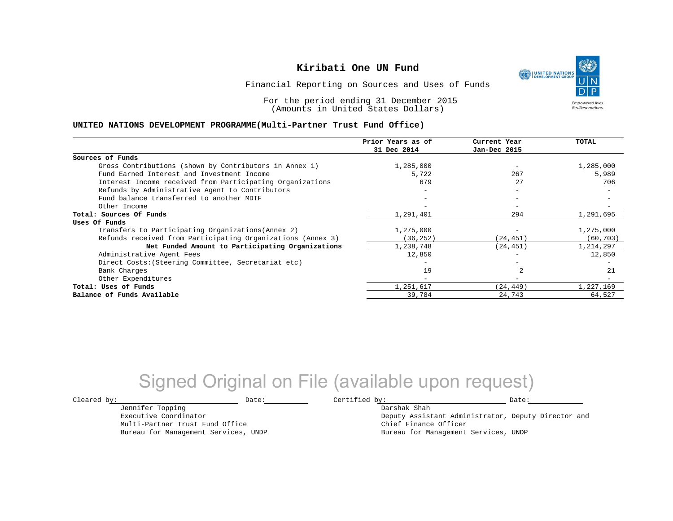UNITED NATIONS **Empowered lives Resilient nations.** 

Financial Reporting on Sources and Uses of Funds

For the period ending 31 December 2015 (Amounts in United States Dollars)

#### **UNITED NATIONS DEVELOPMENT PROGRAMME(Multi-Partner Trust Fund Office)**

|                                                             | Prior Years as of<br>31 Dec 2014 | Current Year<br>Jan-Dec 2015 | TOTAL     |
|-------------------------------------------------------------|----------------------------------|------------------------------|-----------|
|                                                             |                                  |                              |           |
| Sources of Funds                                            |                                  |                              |           |
| Gross Contributions (shown by Contributors in Annex 1)      | 1,285,000                        |                              | 1,285,000 |
| Fund Earned Interest and Investment Income                  | 5,722                            | 267                          | 5,989     |
| Interest Income received from Participating Organizations   | 679                              | 27                           | 706       |
| Refunds by Administrative Agent to Contributors             |                                  | $\overline{\phantom{0}}$     |           |
| Fund balance transferred to another MDTF                    |                                  |                              |           |
| Other Income                                                |                                  | $\qquad \qquad -$            |           |
| Total: Sources Of Funds                                     | 1,291,401                        | 294                          | 1,291,695 |
| Uses Of Funds                                               |                                  |                              |           |
| Transfers to Participating Organizations (Annex 2)          | 1,275,000                        |                              | 1,275,000 |
| Refunds received from Participating Organizations (Annex 3) | 36, 252)                         | (24,451)                     | (60, 703) |
| Net Funded Amount to Participating Organizations            | 1,238,748                        | (24, 451)                    | 1,214,297 |
| Administrative Agent Fees                                   | 12,850                           |                              | 12,850    |
| Direct Costs: (Steering Committee, Secretariat etc)         |                                  |                              |           |
| Bank Charges                                                | 19                               |                              | 21        |
| Other Expenditures                                          | $-$                              | $\overline{\phantom{m}}$     |           |
| Total: Uses of Funds                                        | 1,251,617                        | (24, 449)                    | 1,227,169 |
| Balance of Funds Available                                  | 39,784                           | 24,743                       | 64,527    |

## Signed Original on File (available upon request)

Jennifer Topping Executive Coordinator

Multi-Partner Trust Fund Office Bureau for Management Services, UNDP

 $\texttt{Cleared by:}\footnotesize \begin{minipage}{14pt} \begin{tabular}{p{0.87\textwidth}p{0.87\textwidth}} \centering \end{tabular} \end{minipage}$ 

Darshak Shah Deputy Assistant Administrator, Deputy Director and Chief Finance Officer Bureau for Management Services, UNDP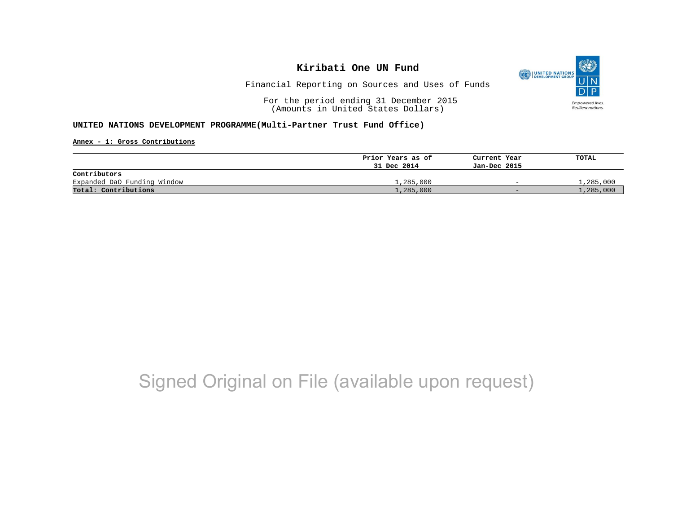

Financial Reporting on Sources and Uses of Funds

For the period ending 31 December 2015 (Amounts in United States Dollars)

#### **UNITED NATIONS DEVELOPMENT PROGRAMME(Multi-Partner Trust Fund Office)**

**Annex - 1: Gross Contributions**

|                             | Prior Years as of | Current Year             | TOTAL     |
|-----------------------------|-------------------|--------------------------|-----------|
|                             | 31 Dec 2014       | Jan-Dec 2015             |           |
| Contributors                |                   |                          |           |
| Expanded DaO Funding Window | 1,285,000         | $\overline{\phantom{0}}$ | 1,285,000 |
| Total: Contributions        | 1,285,000         | $-$                      | 1,285,000 |

# Signed Original on File (available upon request)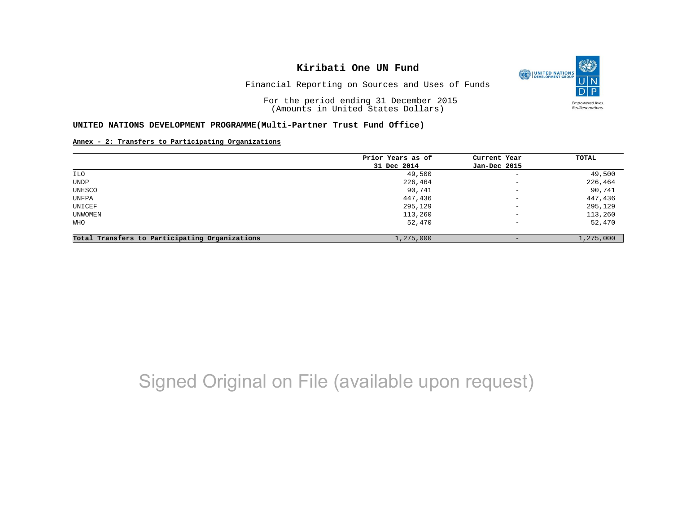O UNITED NATIONS **Empowered lives** Resilient nations.

Financial Reporting on Sources and Uses of Funds

For the period ending 31 December 2015 (Amounts in United States Dollars)

#### **UNITED NATIONS DEVELOPMENT PROGRAMME(Multi-Partner Trust Fund Office)**

**Annex - 2: Transfers to Participating Organizations**

|                                                | Prior Years as of | Current Year             | TOTAL     |
|------------------------------------------------|-------------------|--------------------------|-----------|
|                                                | 31 Dec 2014       | Jan-Dec 2015             |           |
| ILO                                            | 49,500            | $\qquad \qquad -$        | 49,500    |
| <b>UNDP</b>                                    | 226,464           | $\qquad \qquad -$        | 226,464   |
| UNESCO                                         | 90,741            | $\overline{\phantom{m}}$ | 90,741    |
| UNFPA                                          | 447,436           | $-$                      | 447,436   |
| UNICEF                                         | 295,129           | $\overline{\phantom{a}}$ | 295,129   |
| UNWOMEN                                        | 113,260           | $-$                      | 113,260   |
| WHO                                            | 52,470            | $\overline{\phantom{m}}$ | 52,470    |
| Total Transfers to Participating Organizations | 1,275,000         |                          | 1,275,000 |

# Signed Original on File (available upon request)